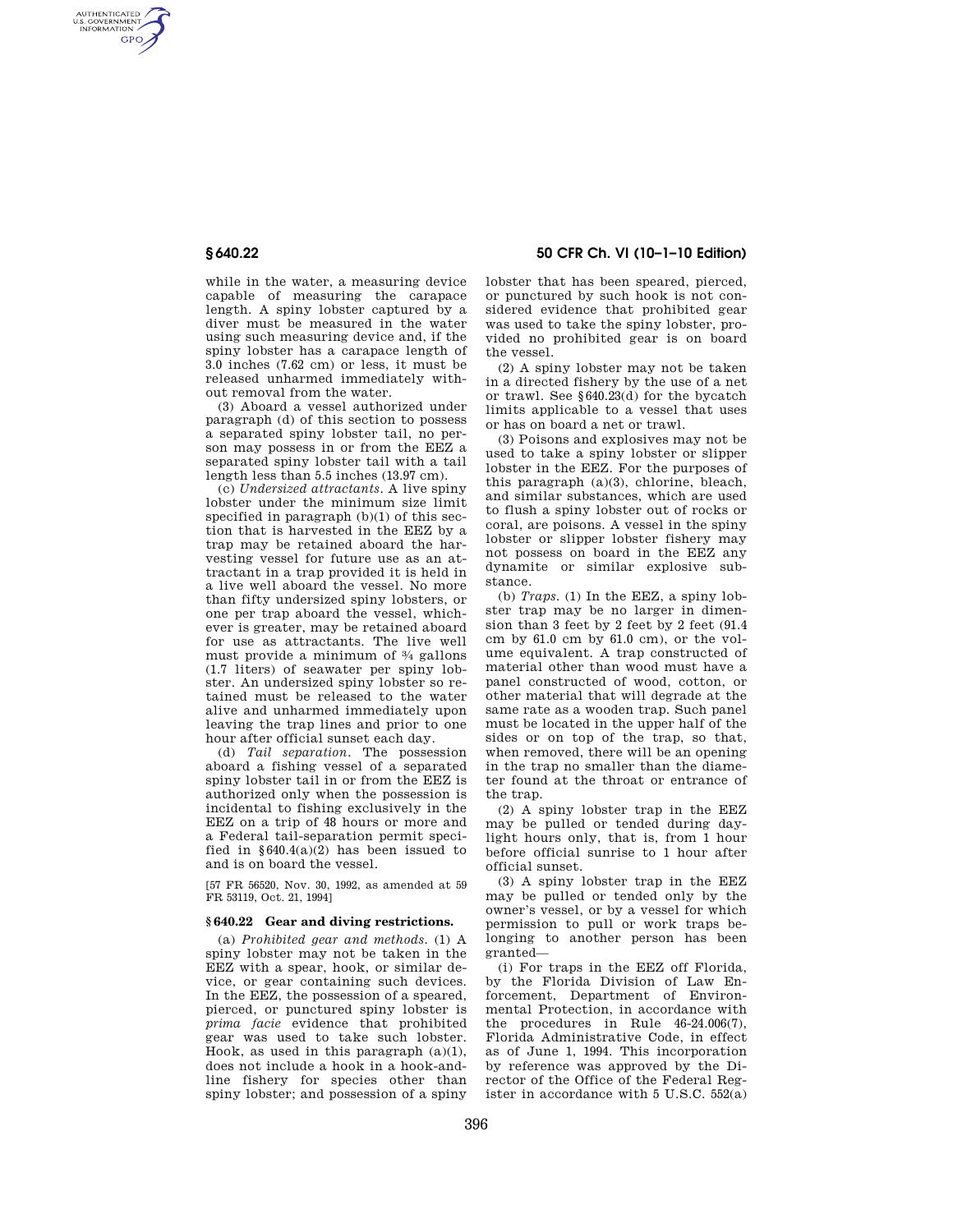AUTHENTICATED<br>U.S. GOVERNMENT<br>INFORMATION **GPO** 

> while in the water, a measuring device capable of measuring the carapace length. A spiny lobster captured by a diver must be measured in the water using such measuring device and, if the spiny lobster has a carapace length of 3.0 inches (7.62 cm) or less, it must be released unharmed immediately without removal from the water.

> (3) Aboard a vessel authorized under paragraph (d) of this section to possess a separated spiny lobster tail, no person may possess in or from the EEZ a separated spiny lobster tail with a tail length less than 5.5 inches (13.97 cm).

> (c) *Undersized attractants.* A live spiny lobster under the minimum size limit specified in paragraph (b)(1) of this section that is harvested in the EEZ by a trap may be retained aboard the harvesting vessel for future use as an attractant in a trap provided it is held in a live well aboard the vessel. No more than fifty undersized spiny lobsters, or one per trap aboard the vessel, whichever is greater, may be retained aboard for use as attractants. The live well must provide a minimum of 3⁄4 gallons (1.7 liters) of seawater per spiny lobster. An undersized spiny lobster so retained must be released to the water alive and unharmed immediately upon leaving the trap lines and prior to one hour after official sunset each day.

> (d) *Tail separation.* The possession aboard a fishing vessel of a separated spiny lobster tail in or from the EEZ is authorized only when the possession is incidental to fishing exclusively in the EEZ on a trip of 48 hours or more and a Federal tail-separation permit specified in  $$640.4(a)(2)$  has been issued to and is on board the vessel.

> [57 FR 56520, Nov. 30, 1992, as amended at 59 FR 53119, Oct. 21, 1994]

## **§ 640.22 Gear and diving restrictions.**

(a) *Prohibited gear and methods.* (1) A spiny lobster may not be taken in the EEZ with a spear, hook, or similar device, or gear containing such devices. In the EEZ, the possession of a speared, pierced, or punctured spiny lobster is *prima facie* evidence that prohibited gear was used to take such lobster. Hook, as used in this paragraph  $(a)(1)$ , does not include a hook in a hook-andline fishery for species other than spiny lobster; and possession of a spiny

## **§ 640.22 50 CFR Ch. VI (10–1–10 Edition)**

lobster that has been speared, pierced, or punctured by such hook is not considered evidence that prohibited gear was used to take the spiny lobster, provided no prohibited gear is on board the vessel.

(2) A spiny lobster may not be taken in a directed fishery by the use of a net or trawl. See §640.23(d) for the bycatch limits applicable to a vessel that uses or has on board a net or trawl.

(3) Poisons and explosives may not be used to take a spiny lobster or slipper lobster in the EEZ. For the purposes of this paragraph (a)(3), chlorine, bleach, and similar substances, which are used to flush a spiny lobster out of rocks or coral, are poisons. A vessel in the spiny lobster or slipper lobster fishery may not possess on board in the EEZ any dynamite or similar explosive substance.

(b) *Traps.* (1) In the EEZ, a spiny lobster trap may be no larger in dimension than 3 feet by 2 feet by 2 feet (91.4 cm by 61.0 cm by 61.0 cm), or the volume equivalent. A trap constructed of material other than wood must have a panel constructed of wood, cotton, or other material that will degrade at the same rate as a wooden trap. Such panel must be located in the upper half of the sides or on top of the trap, so that, when removed, there will be an opening in the trap no smaller than the diameter found at the throat or entrance of the trap.

(2) A spiny lobster trap in the EEZ may be pulled or tended during daylight hours only, that is, from 1 hour before official sunrise to 1 hour after official sunset.

(3) A spiny lobster trap in the EEZ may be pulled or tended only by the owner's vessel, or by a vessel for which permission to pull or work traps belonging to another person has been granted—

(i) For traps in the EEZ off Florida, by the Florida Division of Law Enforcement, Department of Environmental Protection, in accordance with the procedures in Rule 46-24.006(7), Florida Administrative Code, in effect as of June 1, 1994. This incorporation by reference was approved by the Director of the Office of the Federal Register in accordance with 5 U.S.C.  $552(a)$